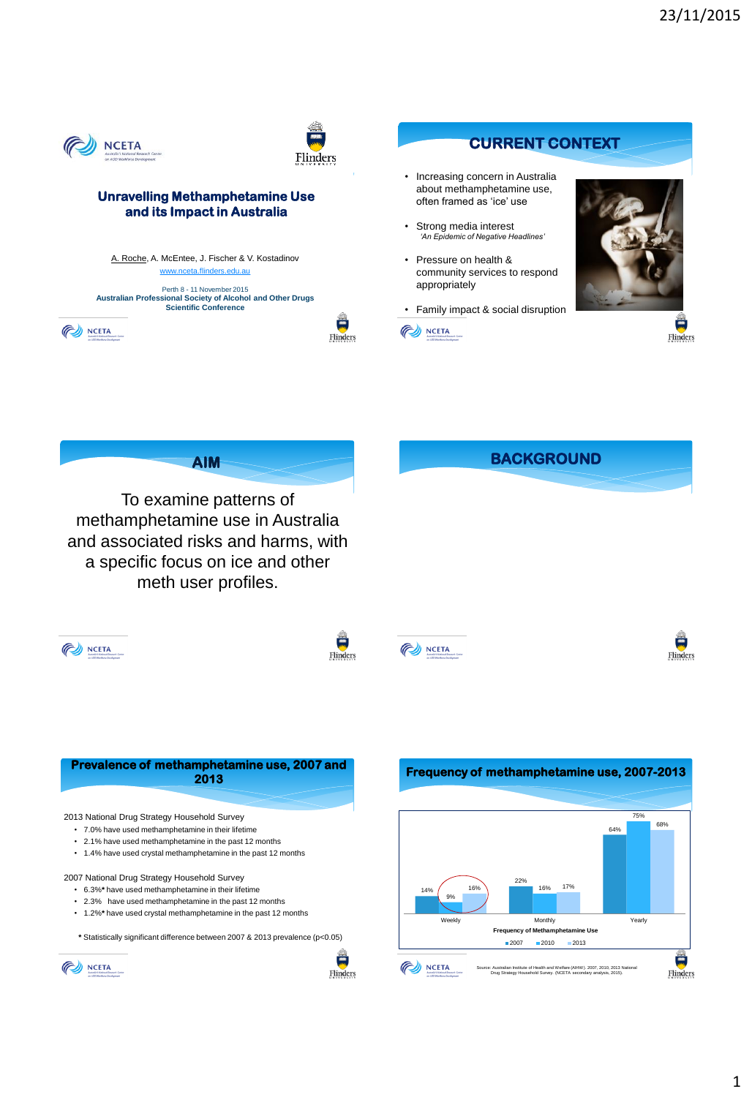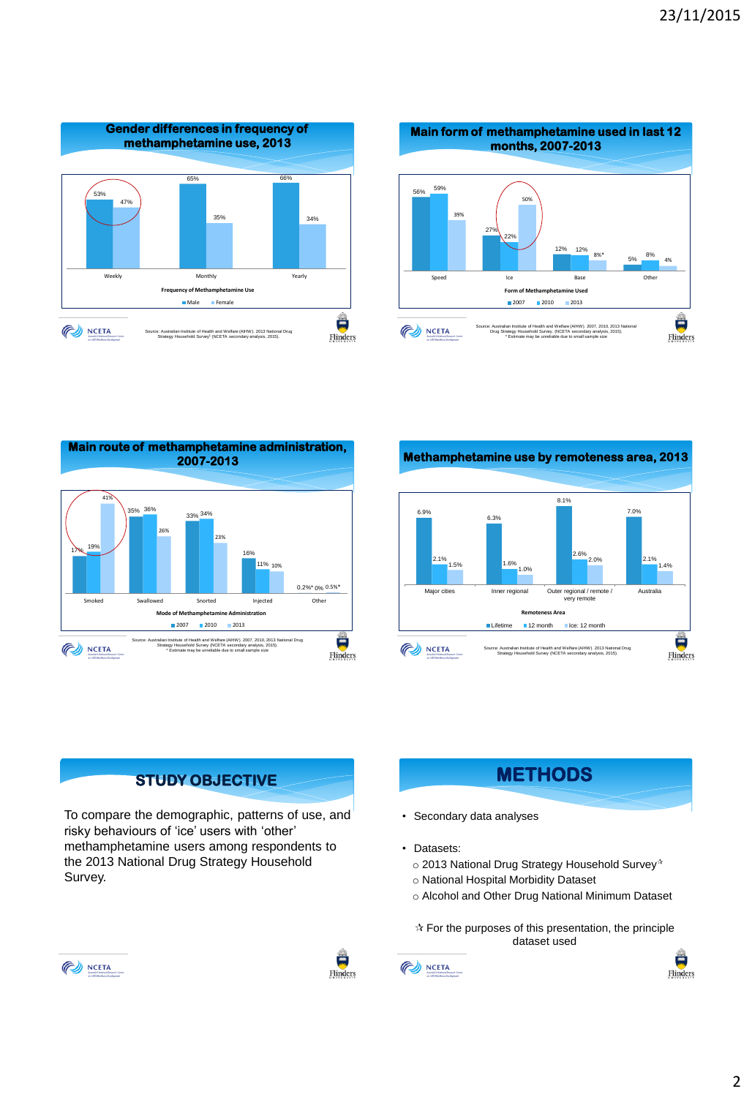







## **STUDY OBJECTIVE**

To compare the demographic, patterns of use, and risky behaviours of 'ice' users with 'other' methamphetamine users among respondents to the 2013 National Drug Strategy Household Survey.



- Secondary data analyses
- Datasets:
	- $\circ$  2013 National Drug Strategy Household Survey\*
	- o National Hospital Morbidity Dataset
	- o Alcohol and Other Drug National Minimum Dataset

 $\mathbf{\hat{x}}$  For the purposes of this presentation, the principle dataset used



 $\frac{2\pi}{100}$ 

Flinders



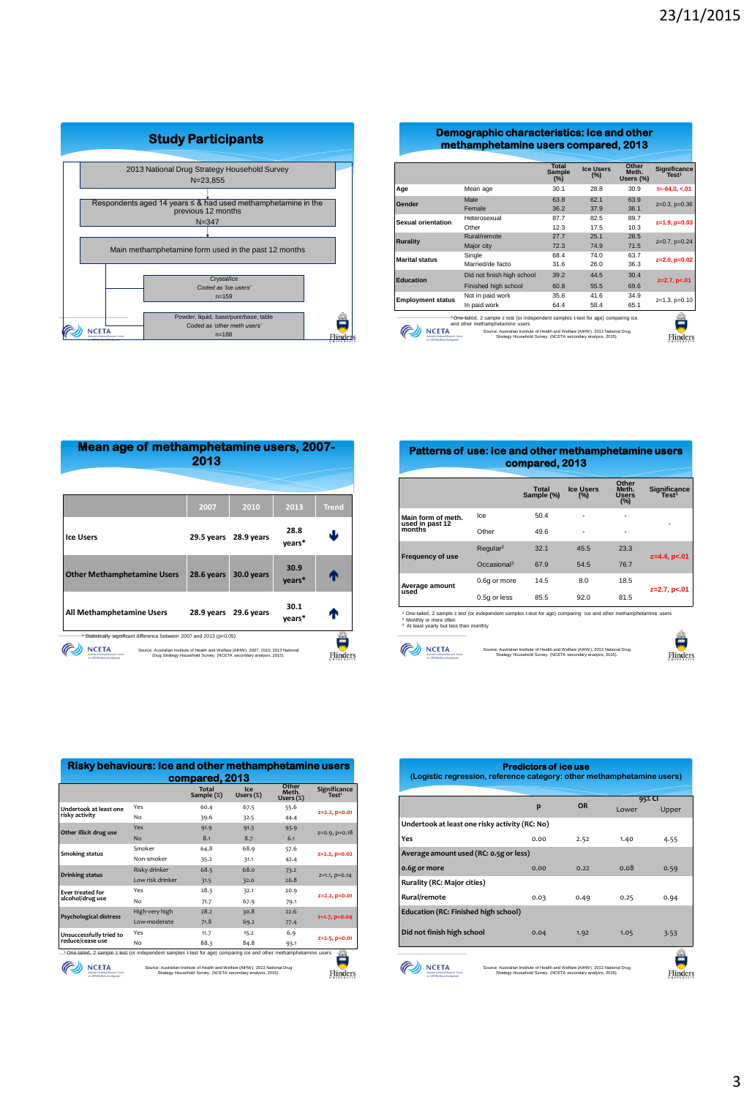

| Demographic characteristics: Ice and other |  |
|--------------------------------------------|--|
| methamphetamine users compared, 2013       |  |

|                            | <b>Total</b><br><b>Sample</b><br>$(\%)$ | <b>Ice Users</b><br>(%) | Other<br>Meth.<br>Users (%) | Significance<br>Test <sup>1</sup>                                                                                                                                                                                                               |
|----------------------------|-----------------------------------------|-------------------------|-----------------------------|-------------------------------------------------------------------------------------------------------------------------------------------------------------------------------------------------------------------------------------------------|
| Mean age                   | 30.1                                    | 28.8                    | 30.9                        | $t = -64.0, < 01$                                                                                                                                                                                                                               |
| <b>Male</b>                | 63.8                                    | 62.1                    | 63.9                        | $z=0.3$ , $p=0.36$                                                                                                                                                                                                                              |
| Female                     | 36.2                                    | 37.9                    | 36.1                        |                                                                                                                                                                                                                                                 |
| Heterosexual               | 87.7                                    | 82.5                    | 89.7                        | $z=1.9, p=0.03$                                                                                                                                                                                                                                 |
| Other                      | 12.3                                    | 17.5                    | 10.3                        |                                                                                                                                                                                                                                                 |
| Rural/remote               | 27.7                                    | 25.1                    | 28.5                        | $z=0.7$ , $p=0.24$                                                                                                                                                                                                                              |
| Major city                 | 72.3                                    | 74.9                    | 71.5                        |                                                                                                                                                                                                                                                 |
| Single                     | 68.4                                    | 74.0                    | 63.7                        | $z=2.0, p=0.02$                                                                                                                                                                                                                                 |
| Married/de facto           | 31.6                                    | 26.0                    | 36.3                        |                                                                                                                                                                                                                                                 |
| Did not finish high school | 39.2                                    | 44.5                    | 30.4                        | $z=2.7, p<.01$                                                                                                                                                                                                                                  |
| Finished high school       | 60.8                                    | 55.5                    | 69.6                        |                                                                                                                                                                                                                                                 |
| Not in paid work           | 35.6                                    | 41.6                    | 34.9                        | $z=1.3$ , $p=0.10$                                                                                                                                                                                                                              |
| In paid work               | 64.4                                    | 58.4                    | 65.1                        |                                                                                                                                                                                                                                                 |
|                            |                                         |                         |                             |                                                                                                                                                                                                                                                 |
|                            | and other methamphetamine users         |                         |                             | <sup>1</sup> One-tailed, 2 sample z test (or independent samples t-test for age) comparing ice<br>Source: Australian Institute of Health and Welfare (AIHW), 2013 National Drug<br>Strategy Household Survey. (NCETA secondary analysis, 2015). |

| Mean age of methamphetamine users, 2007-<br>2013                                                                                                                                                                                                                  |            |            |                |              |
|-------------------------------------------------------------------------------------------------------------------------------------------------------------------------------------------------------------------------------------------------------------------|------------|------------|----------------|--------------|
|                                                                                                                                                                                                                                                                   |            |            |                |              |
|                                                                                                                                                                                                                                                                   | 2007       | 2010       | 2013           | <b>Trend</b> |
| <b>Ice Users</b>                                                                                                                                                                                                                                                  | 29.5 years | 28.9 years | 28.8<br>vears* | ш            |
| <b>Other Methamphetamine Users</b>                                                                                                                                                                                                                                | 28.6 years | 30.0 years | 30.9<br>years* | Ф            |
| All Methamphetamine Users                                                                                                                                                                                                                                         | 28.9 years | 29.6 years | 30.1<br>years* |              |
| * Statistically significant difference between 2007 and 2013 (p<0.05)<br>Source: Australian Institute of Health and Welfare (AIHW), 2007, 2010, 2013 National<br>Drug Strategy Household Survey. (NCETA secondary analysis, 2015).<br>an 830 Westweet Development |            |            |                |              |

| <b>Patterns of use: Ice and other methamphetamine users</b> |  |
|-------------------------------------------------------------|--|
| compared, 2013                                              |  |

|                                                 |                         | Total<br>Sample (%) | <b>Ice Users</b><br>(%) | Other<br>Meth.<br><b>Users</b><br>(%) | <b>Significance</b><br>Test <sup>1</sup> |
|-------------------------------------------------|-------------------------|---------------------|-------------------------|---------------------------------------|------------------------------------------|
| Main form of meth.<br>used in past 12<br>months | Ice                     | 50.4                | ۰                       | $\overline{\phantom{0}}$              | ٠                                        |
|                                                 | Other                   | 49.6                | $\overline{a}$          | -                                     |                                          |
| <b>Frequency of use</b>                         | Regular <sup>2</sup>    | 32.1                | 45.5                    | 23.3                                  | $z=4.4$ , $p<.01$                        |
|                                                 | Occasional <sup>3</sup> | 67.9                | 54.5                    | 76.7                                  |                                          |
| Average amount<br>used                          | 0.6g or more            | 14.5                | 8.0                     | 18.5                                  |                                          |
|                                                 | 0.5g or less            | 85.5                | 92.0                    | 81.5                                  | $z=2.7, p<.01$                           |

<sup>1</sup> One-tailed, 2 sample z test (or independent samples t-test for age) comparing ice and other methamphetamine users<br><sup>3</sup> Atonthly or more often<br><sup>3</sup> At least yearly but less than monthly



| Source: Australian Institute of Health and Welfare (AIHW), 2013 National Drug |
|-------------------------------------------------------------------------------|
| Strategy Household Survey. (NCETA secondary analysis, 2015).                  |
|                                                                               |
|                                                                               |
|                                                                               |

| <b>Predictors of ice use</b><br>(Logistic regression, reference category: other methamphetamine users) |                                                                                                                                               |           |                 |       |  |  |
|--------------------------------------------------------------------------------------------------------|-----------------------------------------------------------------------------------------------------------------------------------------------|-----------|-----------------|-------|--|--|
|                                                                                                        | p                                                                                                                                             | <b>OR</b> | 95% CI<br>Lower | Upper |  |  |
| Undertook at least one risky activity (RC: No)                                                         |                                                                                                                                               |           |                 |       |  |  |
| Yes                                                                                                    | 0.00                                                                                                                                          | 2.52      | 1.40            | 4.55  |  |  |
| Average amount used (RC: 0.5g or less)                                                                 |                                                                                                                                               |           |                 |       |  |  |
| 0.6g or more                                                                                           | 0.00                                                                                                                                          | 0.22      | 0.08            | 0.59  |  |  |
| Rurality (RC: Major cities)                                                                            |                                                                                                                                               |           |                 |       |  |  |
| Rural/remote                                                                                           | 0.03                                                                                                                                          | 0.49      | 0.25            | 0.94  |  |  |
| Education (RC: Finished high school)                                                                   |                                                                                                                                               |           |                 |       |  |  |
| Did not finish high school                                                                             | 0.04                                                                                                                                          | 1.92      | 1.05            | 3.53  |  |  |
| n 830 Westform Grodown                                                                                 | Source: Australian Institute of Health and Welfare (AIHW), 2013 National Drug<br>Strategy Household Survey. (NCETA secondary analysis, 2015). |           |                 |       |  |  |

|                                             |                  | <b>Total</b><br>Sample (%) | Ice<br>Users $(x)$ | Other<br>Meth.<br>Users $(\%)$ | Significance<br>Test <sup>1</sup> |
|---------------------------------------------|------------------|----------------------------|--------------------|--------------------------------|-----------------------------------|
| Undertook at least one                      | Yes              | 60.4                       | 67.5               | 55.6                           |                                   |
| risky activity                              | No               | 39.6                       | 32.5               | 44.4                           | Z=2.2, p=0.01                     |
| Other illicit drug use                      | Yes              | 91.9                       | 91.3               | 93.9                           | $Z=0.9, p=0.18$                   |
|                                             | No               | 8.1                        | 8.7                | 6.1                            |                                   |
| <b>Smoking status</b>                       | Smoker           | 64.8                       | 68.9               | 57.6                           |                                   |
|                                             | Non-smoker       | 35.2                       | 31.1               | 42.4                           | Z=2.2, p=0.02                     |
| <b>Drinking status</b>                      | Risky drinker    | 68.5                       | 68.0               | 73.2                           |                                   |
|                                             | Low risk drinker | 31.5                       | 32.0               | 26.8                           | Z=1.1, p=0.14                     |
| <b>Ever treated for</b>                     | Yes              | 28.3                       | 32.1               | 20.9                           |                                   |
| alcohol/drug use                            | No               | 71.7                       | 67.9               | 79.1                           | Z=2.2, p=0.01                     |
|                                             | High-very high   | 28.2                       | 30.8               | 22.6                           |                                   |
| <b>Psychological distress</b>               | Low-moderate     | 71.8                       | 69.2               | 77.4                           | Z=1.7, p=0.04                     |
| Unsuccessfully tried to<br>reduce/cease úse | Yes              | 11.7                       | 15.2               | 6.9                            |                                   |
|                                             | No               | 88.3                       | 84.8               | 93.1                           | $Z=2.5, p=0.01$                   |

Source: Australian Institute of Health and Welfare (AIHW). 2013 National Drug Strategy Household Survey. (NCETA secondary analysis, 2015).

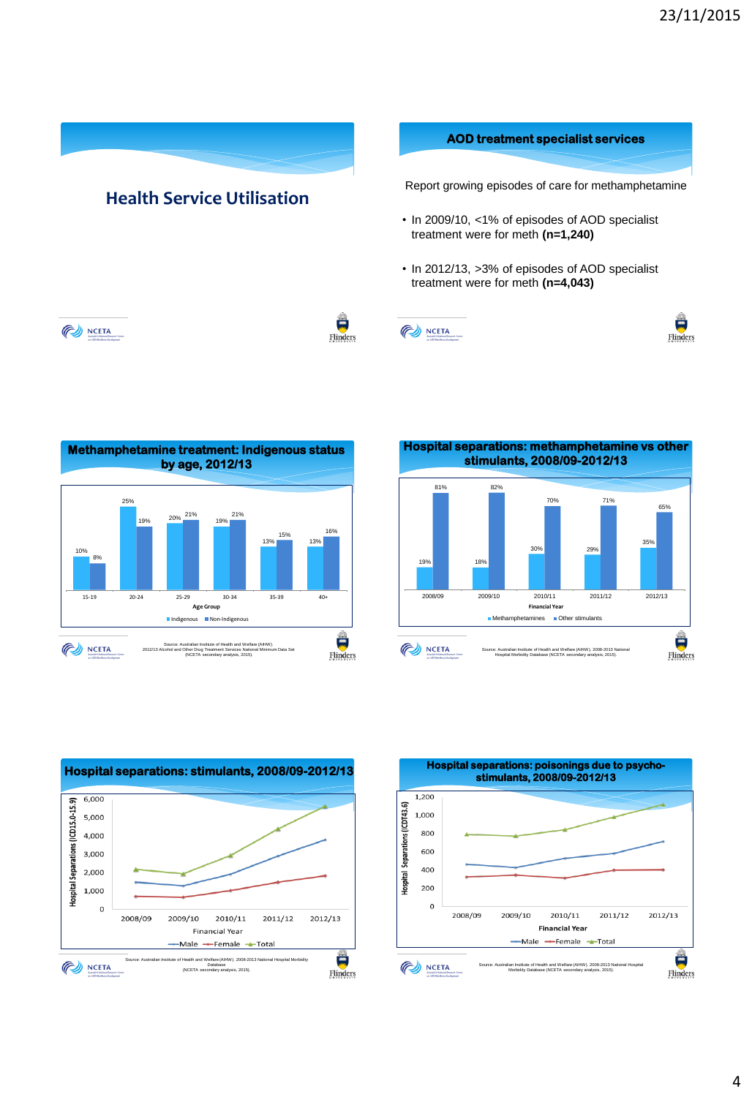



**Hospital separations: methamphetamine vs other stimulants, 2008/09-2012/13**  81% 82% 70% 71% 65% 35% 30% 29% 19% 18% 2008/09 2009/10 2010/11 2011/12 2012/13 **Financial Year** Methamphetamines **Communism** Other stimulants 簋 NCETA

Source: Australian Institute of Health and Welfare (AIHW). 2008-2013 National Hospital Morbidity Database (NCETA secondary analysis, 2015).





Flinders

4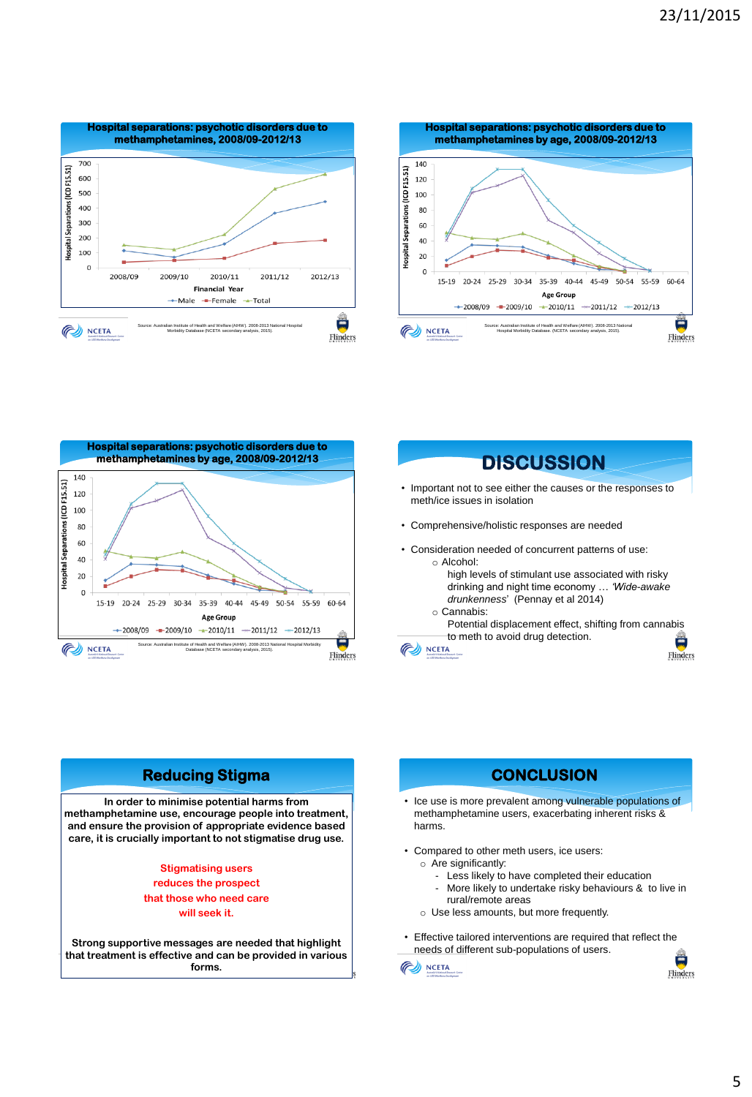







## **Reducing Stigma CONCLUSION**

**In order to minimise potential harms from methamphetamine use, encourage people into treatment, and ensure the provision of appropriate evidence based care, it is crucially important to not stigmatise drug use.**

## **Stigmatising users reduces the prospect that those who need care will seek it.**

**Strong supportive messages are needed that highlight that treatment is effective and can be provided in various forms.** 

- Ice use is more prevalent among vulnerable populations of methamphetamine users, exacerbating inherent risks & harms.
- Compared to other meth users, ice users:
	- o Are significantly:
		- Less likely to have completed their education
		- More likely to undertake risky behaviours & to live in rural/remote areas
	- o Use less amounts, but more frequently.
- Effective tailored interventions are required that reflect the needs of different sub-populations of users.

**NCETA**